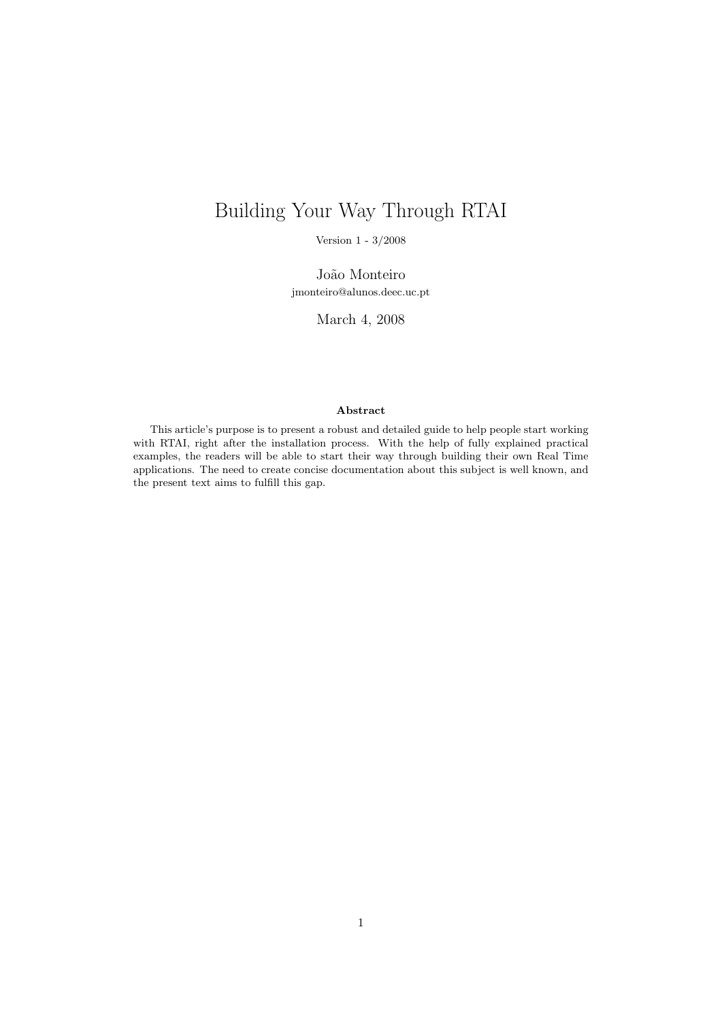# Building Your Way Through RTAI

Version 1 - 3/2008

João Monteiro jmonteiro@alunos.deec.uc.pt

March 4, 2008

#### Abstract

This article's purpose is to present a robust and detailed guide to help people start working with RTAI, right after the installation process. With the help of fully explained practical examples, the readers will be able to start their way through building their own Real Time applications. The need to create concise documentation about this subject is well known, and the present text aims to fulfill this gap.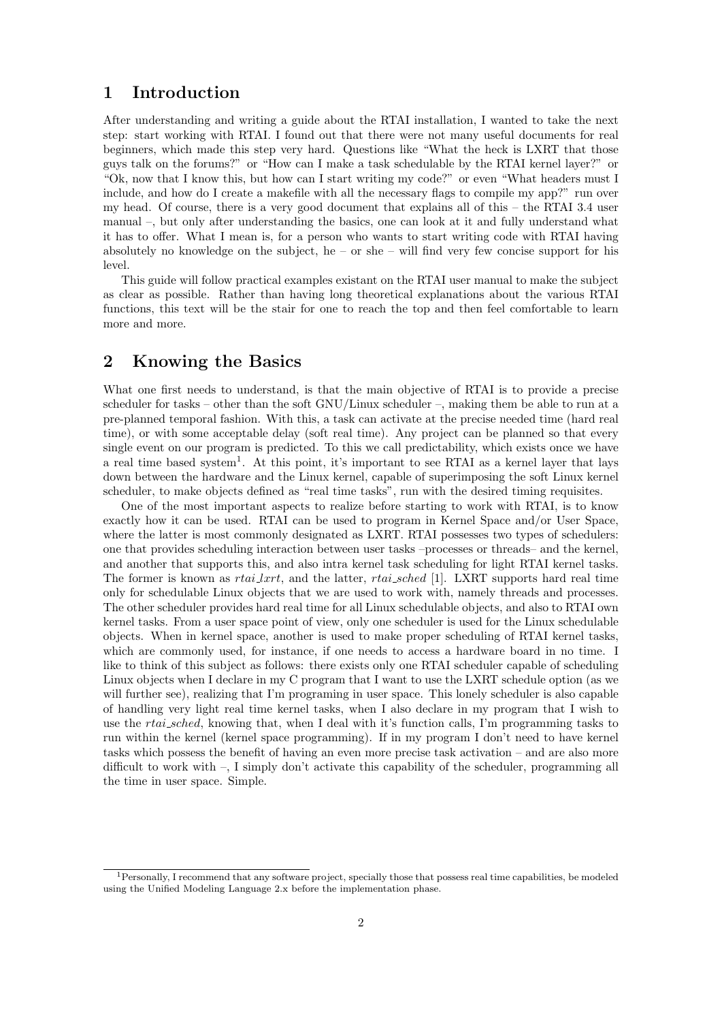## 1 Introduction

After understanding and writing a guide about the RTAI installation, I wanted to take the next step: start working with RTAI. I found out that there were not many useful documents for real beginners, which made this step very hard. Questions like "What the heck is LXRT that those guys talk on the forums?" or "How can I make a task schedulable by the RTAI kernel layer?" or "Ok, now that I know this, but how can I start writing my code?" or even "What headers must I include, and how do I create a makefile with all the necessary flags to compile my app?" run over my head. Of course, there is a very good document that explains all of this – the RTAI 3.4 user manual –, but only after understanding the basics, one can look at it and fully understand what it has to offer. What I mean is, for a person who wants to start writing code with RTAI having absolutely no knowledge on the subject, he – or she – will find very few concise support for his level.

This guide will follow practical examples existant on the RTAI user manual to make the subject as clear as possible. Rather than having long theoretical explanations about the various RTAI functions, this text will be the stair for one to reach the top and then feel comfortable to learn more and more.

## 2 Knowing the Basics

What one first needs to understand, is that the main objective of RTAI is to provide a precise scheduler for tasks – other than the soft  $GNU/Linux$  scheduler –, making them be able to run at a pre-planned temporal fashion. With this, a task can activate at the precise needed time (hard real time), or with some acceptable delay (soft real time). Any project can be planned so that every single event on our program is predicted. To this we call predictability, which exists once we have a real time based system<sup>1</sup>. At this point, it's important to see RTAI as a kernel layer that lays down between the hardware and the Linux kernel, capable of superimposing the soft Linux kernel scheduler, to make objects defined as "real time tasks", run with the desired timing requisites.

One of the most important aspects to realize before starting to work with RTAI, is to know exactly how it can be used. RTAI can be used to program in Kernel Space and/or User Space, where the latter is most commonly designated as LXRT. RTAI possesses two types of schedulers: one that provides scheduling interaction between user tasks –processes or threads– and the kernel, and another that supports this, and also intra kernel task scheduling for light RTAI kernel tasks. The former is known as *rtai lxrt*, and the latter, *rtai sched* [1]. LXRT supports hard real time only for schedulable Linux objects that we are used to work with, namely threads and processes. The other scheduler provides hard real time for all Linux schedulable objects, and also to RTAI own kernel tasks. From a user space point of view, only one scheduler is used for the Linux schedulable objects. When in kernel space, another is used to make proper scheduling of RTAI kernel tasks, which are commonly used, for instance, if one needs to access a hardware board in no time. I like to think of this subject as follows: there exists only one RTAI scheduler capable of scheduling Linux objects when I declare in my C program that I want to use the LXRT schedule option (as we will further see), realizing that I'm programing in user space. This lonely scheduler is also capable of handling very light real time kernel tasks, when I also declare in my program that I wish to use the *rtai\_sched*, knowing that, when I deal with it's function calls, I'm programming tasks to run within the kernel (kernel space programming). If in my program I don't need to have kernel tasks which possess the benefit of having an even more precise task activation – and are also more difficult to work with –, I simply don't activate this capability of the scheduler, programming all the time in user space. Simple.

<sup>&</sup>lt;sup>1</sup>Personally, I recommend that any software project, specially those that possess real time capabilities, be modeled using the Unified Modeling Language 2.x before the implementation phase.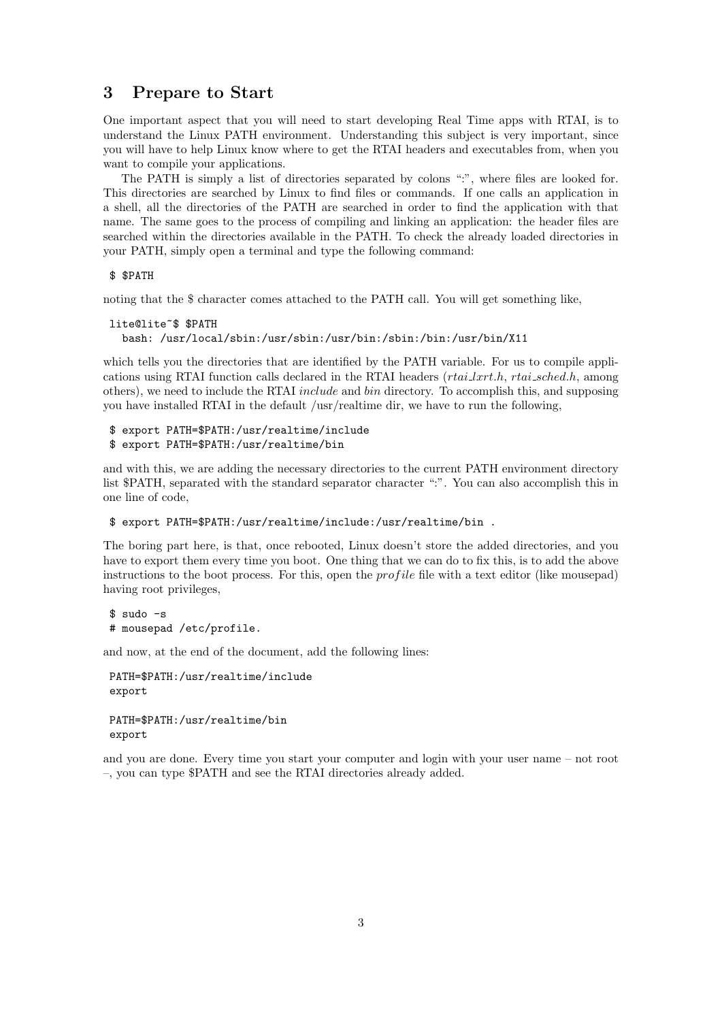## 3 Prepare to Start

One important aspect that you will need to start developing Real Time apps with RTAI, is to understand the Linux PATH environment. Understanding this subject is very important, since you will have to help Linux know where to get the RTAI headers and executables from, when you want to compile your applications.

The PATH is simply a list of directories separated by colons ":", where files are looked for. This directories are searched by Linux to find files or commands. If one calls an application in a shell, all the directories of the PATH are searched in order to find the application with that name. The same goes to the process of compiling and linking an application: the header files are searched within the directories available in the PATH. To check the already loaded directories in your PATH, simply open a terminal and type the following command:

#### \$ \$PATH

noting that the \$ character comes attached to the PATH call. You will get something like,

```
lite@lite~$ $PATH
  bash: /usr/local/sbin:/usr/sbin:/usr/bin:/sbin:/bin:/usr/bin/X11
```
which tells you the directories that are identified by the PATH variable. For us to compile applications using RTAI function calls declared in the RTAI headers  $(rtai\_lxrt.h, rtai\_sched.h,$  among others), we need to include the RTAI include and bin directory. To accomplish this, and supposing you have installed RTAI in the default /usr/realtime dir, we have to run the following,

```
$ export PATH=$PATH:/usr/realtime/include
$ export PATH=$PATH:/usr/realtime/bin
```
and with this, we are adding the necessary directories to the current PATH environment directory list \$PATH, separated with the standard separator character ":". You can also accomplish this in one line of code,

```
$ export PATH=$PATH:/usr/realtime/include:/usr/realtime/bin .
```
The boring part here, is that, once rebooted, Linux doesn't store the added directories, and you have to export them every time you boot. One thing that we can do to fix this, is to add the above instructions to the boot process. For this, open the *profile* file with a text editor (like mousepad) having root privileges,

\$ sudo -s # mousepad /etc/profile.

and now, at the end of the document, add the following lines:

```
PATH=$PATH:/usr/realtime/include
export
```

```
PATH=$PATH:/usr/realtime/bin
export
```
and you are done. Every time you start your computer and login with your user name – not root –, you can type \$PATH and see the RTAI directories already added.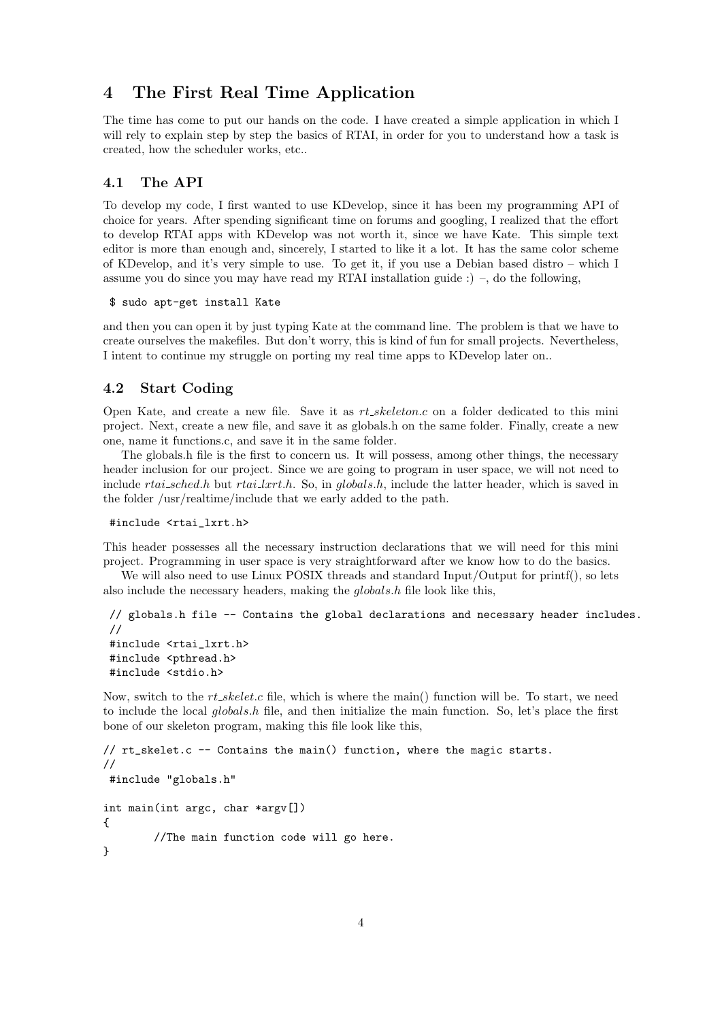# 4 The First Real Time Application

The time has come to put our hands on the code. I have created a simple application in which I will rely to explain step by step the basics of RTAI, in order for you to understand how a task is created, how the scheduler works, etc..

#### 4.1 The API

To develop my code, I first wanted to use KDevelop, since it has been my programming API of choice for years. After spending significant time on forums and googling, I realized that the effort to develop RTAI apps with KDevelop was not worth it, since we have Kate. This simple text editor is more than enough and, sincerely, I started to like it a lot. It has the same color scheme of KDevelop, and it's very simple to use. To get it, if you use a Debian based distro – which I assume you do since you may have read my RTAI installation guide :) –, do the following,

\$ sudo apt-get install Kate

and then you can open it by just typing Kate at the command line. The problem is that we have to create ourselves the makefiles. But don't worry, this is kind of fun for small projects. Nevertheless, I intent to continue my struggle on porting my real time apps to KDevelop later on..

#### 4.2 Start Coding

Open Kate, and create a new file. Save it as  $rt\_skeleton.c$  on a folder dedicated to this mini project. Next, create a new file, and save it as globals.h on the same folder. Finally, create a new one, name it functions.c, and save it in the same folder.

The globals.h file is the first to concern us. It will possess, among other things, the necessary header inclusion for our project. Since we are going to program in user space, we will not need to include rtai\_sched.h but rtai lxrt.h. So, in globals.h, include the latter header, which is saved in the folder /usr/realtime/include that we early added to the path.

```
#include <rtai_lxrt.h>
```
This header possesses all the necessary instruction declarations that we will need for this mini project. Programming in user space is very straightforward after we know how to do the basics.

We will also need to use Linux POSIX threads and standard Input/Output for printf(), so lets also include the necessary headers, making the globals.h file look like this,

```
// globals.h file -- Contains the global declarations and necessary header includes.
//
#include <rtai_lxrt.h>
#include <pthread.h>
#include <stdio.h>
```
Now, switch to the  $rt\_skelet.c$  file, which is where the main() function will be. To start, we need to include the local  $globals.h$  file, and then initialize the main function. So, let's place the first bone of our skeleton program, making this file look like this,

```
// rt_skelet.c -- Contains the main() function, where the magic starts.
//
#include "globals.h"
int main(int argc, char *argv[])
{
        //The main function code will go here.
}
```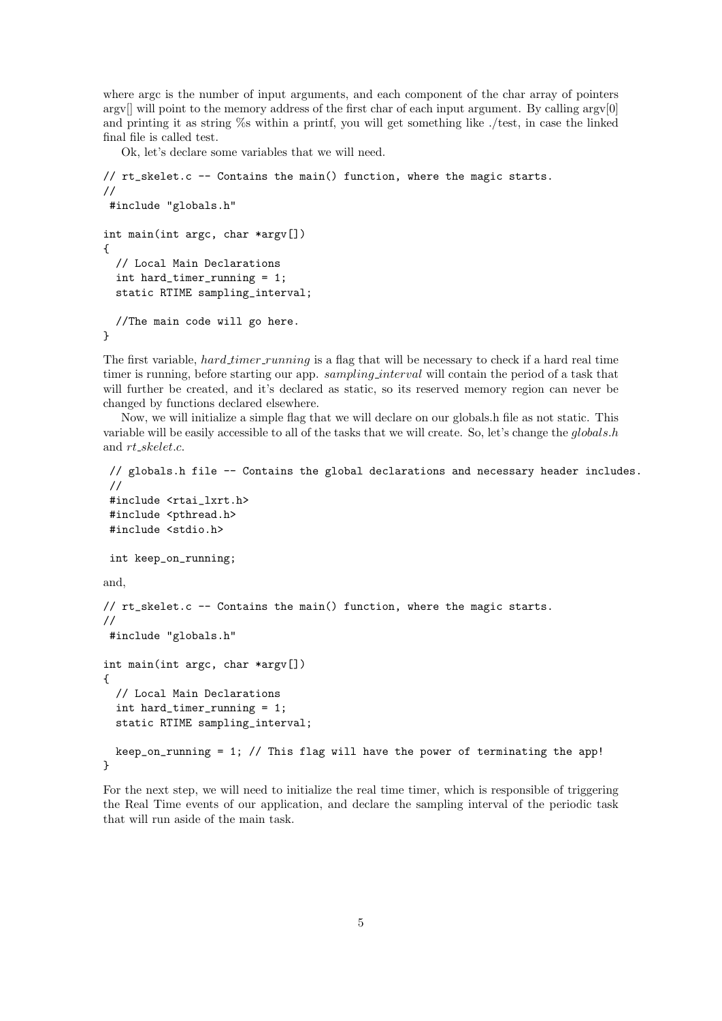where argc is the number of input arguments, and each component of the char array of pointers argy $\parallel$  will point to the memory address of the first char of each input argument. By calling argy $\parallel$ and printing it as string %s within a printf, you will get something like ./test, in case the linked final file is called test.

Ok, let's declare some variables that we will need.

```
// rt_skelet.c -- Contains the main() function, where the magic starts.
//
#include "globals.h"
int main(int argc, char *argv[])
{
  // Local Main Declarations
  int hard_timer_running = 1;
  static RTIME sampling_interval;
  //The main code will go here.
}
```
The first variable, hard timer running is a flag that will be necessary to check if a hard real time timer is running, before starting our app. *sampling interval* will contain the period of a task that will further be created, and it's declared as static, so its reserved memory region can never be changed by functions declared elsewhere.

Now, we will initialize a simple flag that we will declare on our globals.h file as not static. This variable will be easily accessible to all of the tasks that we will create. So, let's change the globals.h and rt skelet.c.

```
// globals.h file -- Contains the global declarations and necessary header includes.
 //
 #include <rtai_lxrt.h>
 #include <pthread.h>
 #include <stdio.h>
 int keep_on_running;
and,
// rt_skelet.c -- Contains the main() function, where the magic starts.
//
 #include "globals.h"
int main(int argc, char *argv[])
{
  // Local Main Declarations
  int hard_timer_running = 1;
  static RTIME sampling_interval;
  keep_on_running = 1; // This flag will have the power of terminating the app!
}
```
For the next step, we will need to initialize the real time timer, which is responsible of triggering the Real Time events of our application, and declare the sampling interval of the periodic task that will run aside of the main task.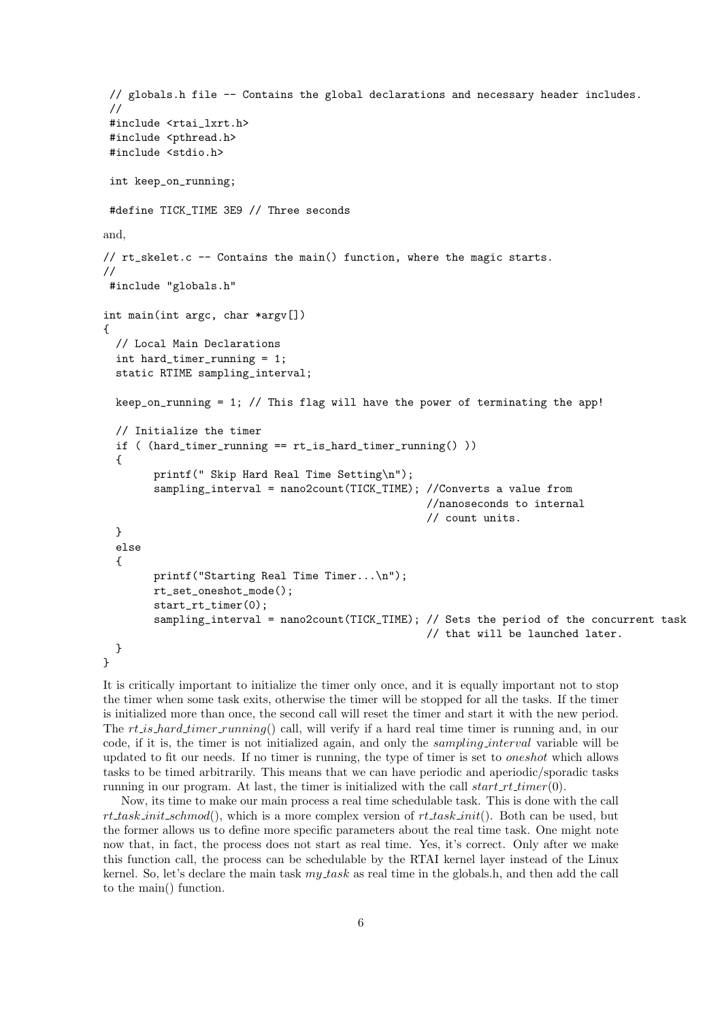```
// globals.h file -- Contains the global declarations and necessary header includes.
 //
 #include <rtai_lxrt.h>
 #include <pthread.h>
 #include <stdio.h>
 int keep_on_running;
 #define TICK_TIME 3E9 // Three seconds
and,
// rt_skelet.c -- Contains the main() function, where the magic starts.
//
 #include "globals.h"
int main(int argc, char *argv[])
{
  // Local Main Declarations
  int hard_timer_running = 1;
  static RTIME sampling_interval;
  keep_on_running = 1; // This flag will have the power of terminating the app!
  // Initialize the timer
  if ( (hard_timer_running == rt_is_hard_timer_running() ))
  {
        printf(" Skip Hard Real Time Setting\n");
        sampling_interval = nano2count(TICK_TIME); //Converts a value from
                                                    //nanoseconds to internal
                                                    // count units.
  }
  else
  {
        printf("Starting Real Time Timer...\n");
        rt_set_oneshot_mode();
        start_rt_timer(0);
        sampling interval = nano2count(TICK_TIME): // Sets the period of the concurrent task
                                                    // that will be launched later.
 }
}
```
It is critically important to initialize the timer only once, and it is equally important not to stop the timer when some task exits, otherwise the timer will be stopped for all the tasks. If the timer is initialized more than once, the second call will reset the timer and start it with the new period. The  $rt.is-hard_time r-running()$  call, will verify if a hard real time timer is running and, in our code, if it is, the timer is not initialized again, and only the sampling interval variable will be updated to fit our needs. If no timer is running, the type of timer is set to oneshot which allows tasks to be timed arbitrarily. This means that we can have periodic and aperiodic/sporadic tasks running in our program. At last, the timer is initialized with the call  $start\_rt\_timer(0)$ .

Now, its time to make our main process a real time schedulable task. This is done with the call rt task init schmod(), which is a more complex version of rt task init(). Both can be used, but the former allows us to define more specific parameters about the real time task. One might note now that, in fact, the process does not start as real time. Yes, it's correct. Only after we make this function call, the process can be schedulable by the RTAI kernel layer instead of the Linux kernel. So, let's declare the main task  $my$  task as real time in the globals.h, and then add the call to the main() function.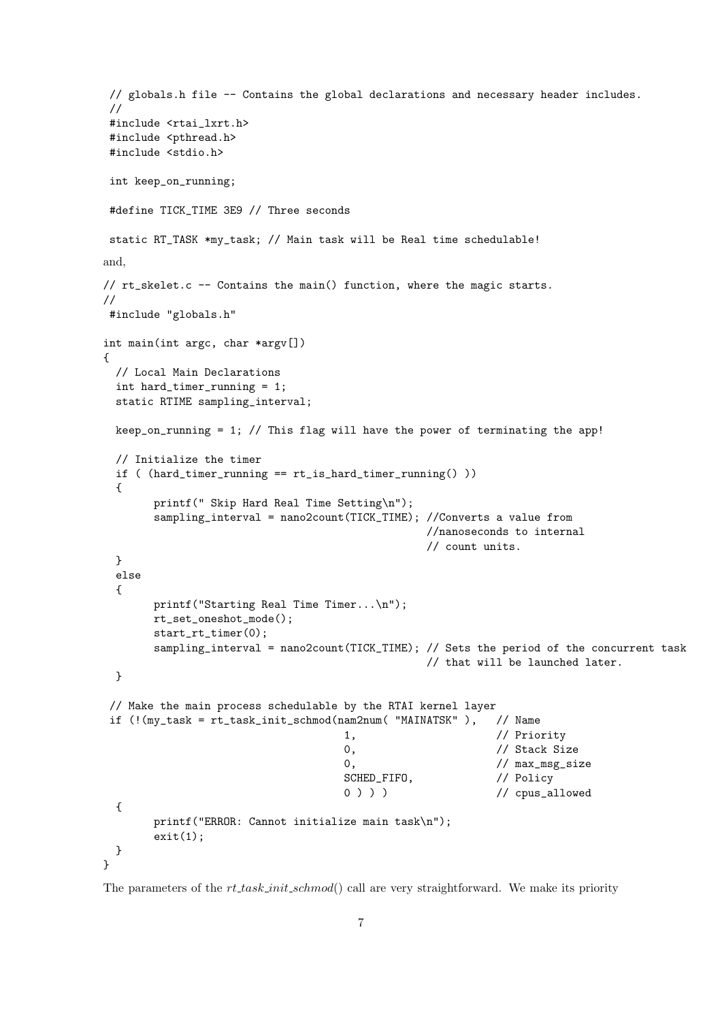```
// globals.h file -- Contains the global declarations and necessary header includes.
 //
 #include <rtai_lxrt.h>
 #include <pthread.h>
 #include <stdio.h>
 int keep_on_running;
 #define TICK_TIME 3E9 // Three seconds
 static RT_TASK *my_task; // Main task will be Real time schedulable!
and,
// rt_skelet.c -- Contains the main() function, where the magic starts.
//
#include "globals.h"
int main(int argc, char *argv[])
{
  // Local Main Declarations
  int hard_timer_running = 1;
  static RTIME sampling_interval;
 keep_on_running = 1; // This flag will have the power of terminating the app!
  // Initialize the timer
  if ( (hard_timer_running == rt_is_hard_timer_running() ))
  {
        printf(" Skip Hard Real Time Setting\n");
        sampling_interval = nano2count(TICK_TIME); //Converts a value from
                                                   //nanoseconds to internal
                                                   // count units.
  }
  else
  {
       printf("Starting Real Time Timer...\n");
       rt_set_oneshot_mode();
       start_rt_timer(0);
        sampling_interval = nano2count(TICK_TIME); // Sets the period of the concurrent task
                                                   // that will be launched later.
  }
 // Make the main process schedulable by the RTAI kernel layer
 if (!(my_task = rt_task_init_schmod(nam2num( "MAINATSK" ), // Name
                                      1, \frac{1}{\sqrt{2}} // Priority
                                      0, \frac{1}{\sqrt{3}} // Stack Size
                                      0, \frac{1}{\sqrt{max_m s}} // max_msg_size
                                      SCHED_FIFO, \frac{1}{\sqrt{2}} Policy
                                      0 ) ) ) / / cpus_allowed
  {
       printf("ERROR: Cannot initialize main task\n");
        exit(1);}
}
```
The parameters of the  $rt$ -task-init-schmod() call are very straightforward. We make its priority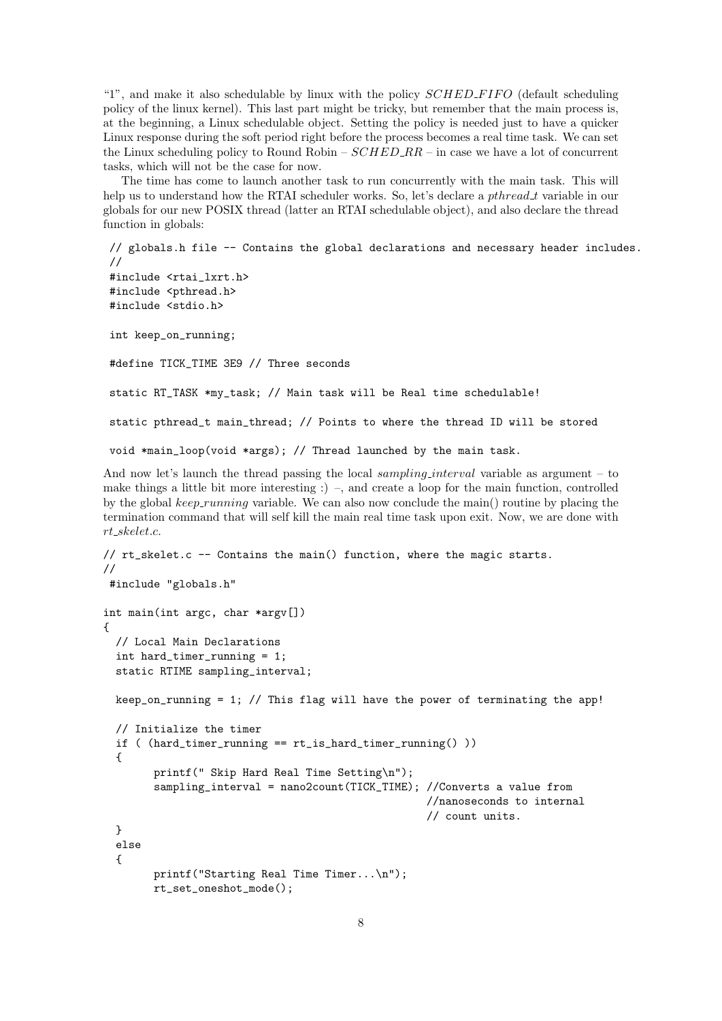"1", and make it also schedulable by linux with the policy  $SCHED\_FIFO$  (default scheduling policy of the linux kernel). This last part might be tricky, but remember that the main process is, at the beginning, a Linux schedulable object. Setting the policy is needed just to have a quicker Linux response during the soft period right before the process becomes a real time task. We can set the Linux scheduling policy to Round Robin –  $SCHED_R R$  – in case we have a lot of concurrent tasks, which will not be the case for now.

The time has come to launch another task to run concurrently with the main task. This will help us to understand how the RTAI scheduler works. So, let's declare a *pthread\_t* variable in our globals for our new POSIX thread (latter an RTAI schedulable object), and also declare the thread function in globals:

```
// globals.h file -- Contains the global declarations and necessary header includes.
//
#include <rtai_lxrt.h>
#include <pthread.h>
#include <stdio.h>
int keep_on_running;
#define TICK_TIME 3E9 // Three seconds
static RT_TASK *my_task; // Main task will be Real time schedulable!
static pthread_t main_thread; // Points to where the thread ID will be stored
void *main_loop(void *args); // Thread launched by the main task.
```
And now let's launch the thread passing the local sampling interval variable as argument – to make things a little bit more interesting  $\cdot$ ) –, and create a loop for the main function, controlled by the global  $keep-running$  variable. We can also now conclude the main() routine by placing the termination command that will self kill the main real time task upon exit. Now, we are done with rt skelet.c.

```
// rt_skelet.c -- Contains the main() function, where the magic starts.
//
#include "globals.h"
int main(int argc, char *argv[])
{
  // Local Main Declarations
  int hard_timer_running = 1;
  static RTIME sampling_interval;
 keep_on_running = 1; // This flag will have the power of terminating the app!
  // Initialize the timer
  if ( (hard_timer_running == rt_is_hard_timer_running() ))
  {
       printf(" Skip Hard Real Time Setting\n");
        sampling_interval = nano2count(TICK_TIME); //Converts a value from
                                                    //nanoseconds to internal
                                                    // count units.
  }
  else
  {
       printf("Starting Real Time Timer...\n");
       rt_set_oneshot_mode();
```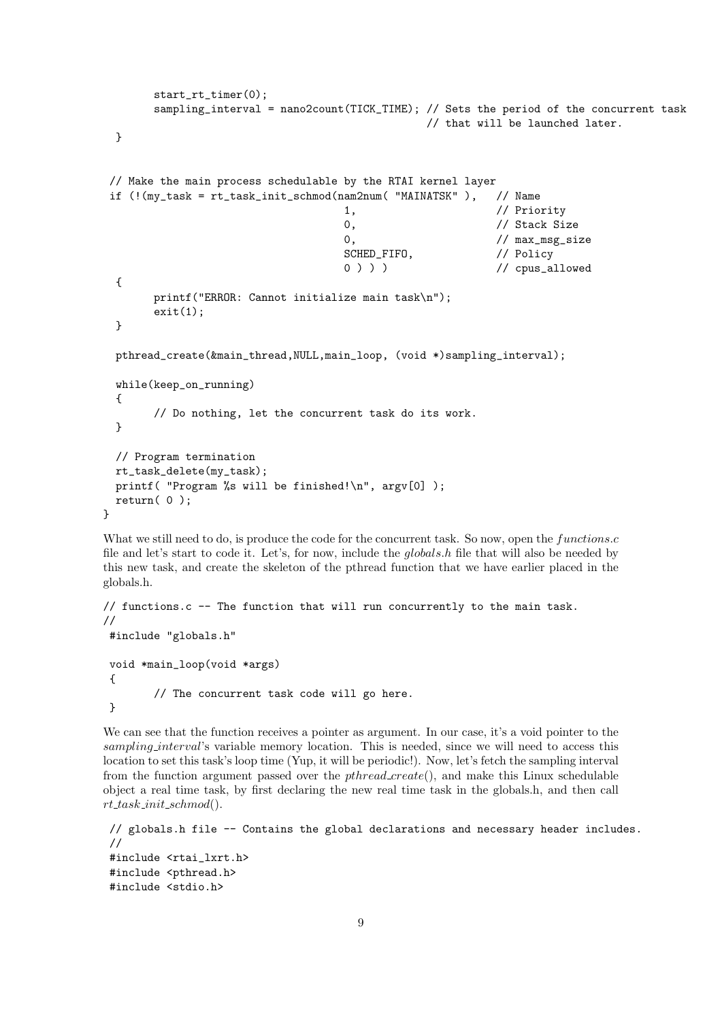```
start_rt_timer(0);
       sampling_interval = nano2count(TICK_TIME); // Sets the period of the concurrent task
                                               // that will be launched later.
 }
 // Make the main process schedulable by the RTAI kernel layer
if (!(my_task = rt_task_init_schmod(nam2num( "MAINATSK" ), // Name
                                   1, // Priority
                                   0. // Stack Size
                                   0, \frac{1}{\sqrt{max_m s}} // max_msg_size
                                   SCHED_FIFO, // Policy
                                   0 ) ) ) / / cpus_allowed
  {
       printf("ERROR: Cannot initialize main task\n");
       exit(1);}
 pthread_create(&main_thread,NULL,main_loop, (void *)sampling_interval);
 while(keep_on_running)
  {
       // Do nothing, let the concurrent task do its work.
 }
 // Program termination
 rt_task_delete(my_task);
 printf( "Program %s will be finished!\ln", argv[0] );
 return( 0 );
}
```
What we still need to do, is produce the code for the concurrent task. So now, open the functions.c file and let's start to code it. Let's, for now, include the globals.h file that will also be needed by this new task, and create the skeleton of the pthread function that we have earlier placed in the globals.h.

```
// functions.c -- The function that will run concurrently to the main task.
//
#include "globals.h"
void *main_loop(void *args)
{
        // The concurrent task code will go here.
}
```
We can see that the function receives a pointer as argument. In our case, it's a void pointer to the sampling interval's variable memory location. This is needed, since we will need to access this location to set this task's loop time (Yup, it will be periodic!). Now, let's fetch the sampling interval from the function argument passed over the *pthread create*(), and make this Linux schedulable object a real time task, by first declaring the new real time task in the globals.h, and then call  $rt\_task\_init\_schmod()$ .

```
// globals.h file -- Contains the global declarations and necessary header includes.
//
#include <rtai_lxrt.h>
#include <pthread.h>
#include <stdio.h>
```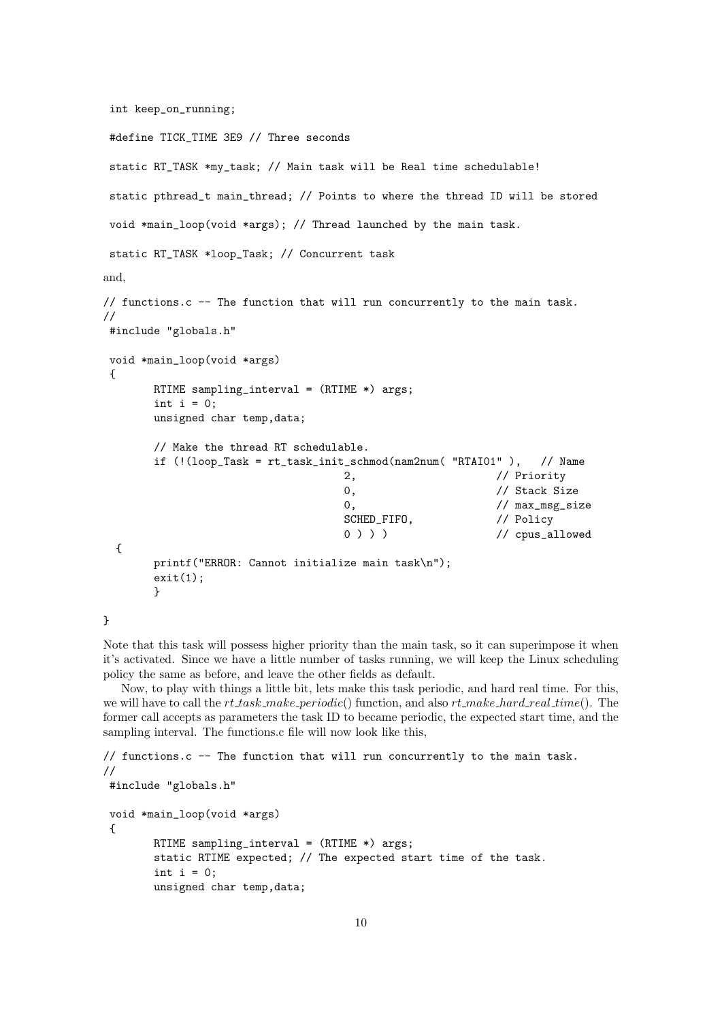```
int keep_on_running;
```

```
#define TICK_TIME 3E9 // Three seconds
 static RT_TASK *my_task; // Main task will be Real time schedulable!
 static pthread_t main_thread; // Points to where the thread ID will be stored
 void *main_loop(void *args); // Thread launched by the main task.
 static RT_TASK *loop_Task; // Concurrent task
and,
// functions.c -- The function that will run concurrently to the main task.
//
 #include "globals.h"
 void *main_loop(void *args)
 {
         RTIME sampling_interval = (RTIME *) args;
         int i = 0;
         unsigned char temp,data;
         // Make the thread RT schedulable.
         if (!(loop_Task = rt_task_init_schmod(nam2num( "RTAI01" ), // Name
                                              2, // Priority
                                               0, \frac{1}{\sqrt{3}} // Stack Size
                                               0, \frac{1}{\sqrt{max_m s}} ax \frac{s}{s} and \frac{s}{s} and \frac{s}{s} and \frac{s}{s} and \frac{s}{s} and \frac{s}{s} and \frac{s}{s} and \frac{s}{s} and \frac{s}{s} and \frac{s}{s} and \frac{s}{s} and \frac{s}{s} and \frac{s}{s} and \frac{s}{s} and \frac{s}{s} and \frac{s}{sSCHED_FIFO, // Policy
                                               0 ) ) ) / / cpus_allowed
  {
         printf("ERROR: Cannot initialize main task\n");
         exit(1);}
```
}

Note that this task will possess higher priority than the main task, so it can superimpose it when it's activated. Since we have a little number of tasks running, we will keep the Linux scheduling policy the same as before, and leave the other fields as default.

Now, to play with things a little bit, lets make this task periodic, and hard real time. For this, we will have to call the  $rt\_task\_make\_periodic()$  function, and also  $rt\_make\_hard\_real\_time()$ . The former call accepts as parameters the task ID to became periodic, the expected start time, and the sampling interval. The functions.c file will now look like this,

```
// functions.c -- The function that will run concurrently to the main task.
//
#include "globals.h"
void *main_loop(void *args)
 {
        RTIME sampling_interval = (RTIME * ) args;
        static RTIME expected; // The expected start time of the task.
        int i = 0;
        unsigned char temp,data;
```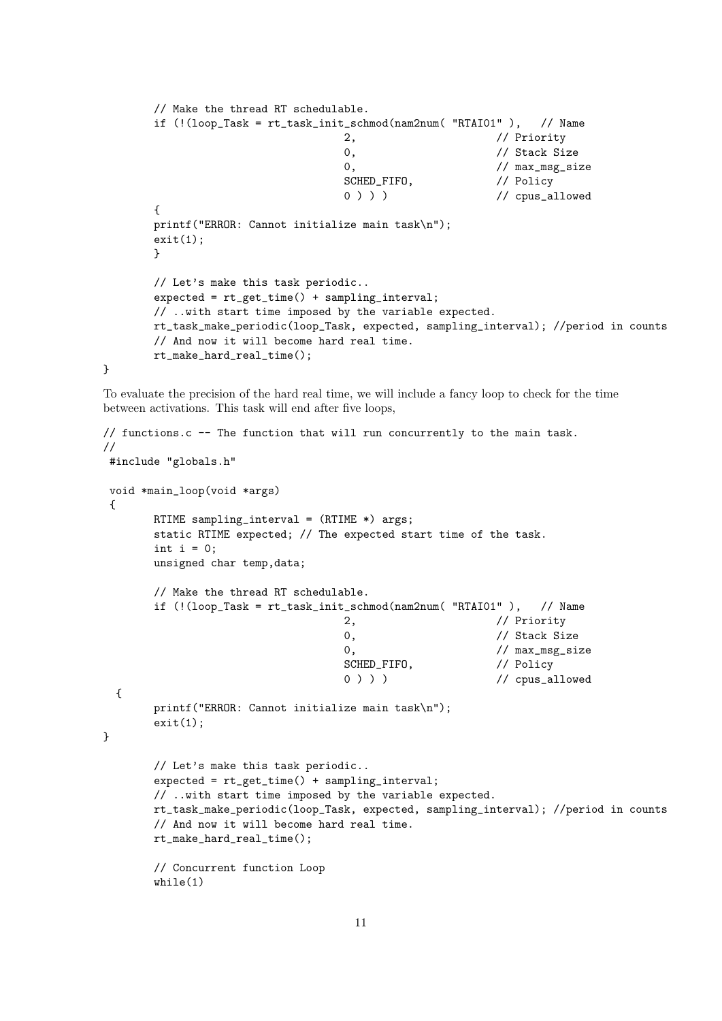```
// Make the thread RT schedulable.
if (!(loop_Task = rt_task_init_schmod(nam2num( "RTAI01" ), // Name
                            2, // Priority
                            0, \frac{1}{\sqrt{3}} // Stack Size
                            0, \frac{1}{\sqrt{max_m s}}SCHED_FIFO, <br>
0 ) ) ) / / cpus_al
                                                  // cpus_allowed
{
printf("ERROR: Cannot initialize main task\n");
exit(1);}
// Let's make this task periodic..
expected = rt_get_time() + sampling_interval;
// ..with start time imposed by the variable expected.
rt_task_make_periodic(loop_Task, expected, sampling_interval); //period in counts
// And now it will become hard real time.
rt_make_hard_real_time();
```
To evaluate the precision of the hard real time, we will include a fancy loop to check for the time between activations. This task will end after five loops,

}

```
// functions.c -- The function that will run concurrently to the main task.
//
#include "globals.h"
void *main_loop(void *args)
 {
       RTIME sampling_interval = (RTIME *) args;
       static RTIME expected; // The expected start time of the task.
       int i = 0;
       unsigned char temp,data;
       // Make the thread RT schedulable.
       if (! (loop\_Task = rt\_task\_init\_schmod(name2num(' "RTAI01"'), // Name2, // Priority
                                     0, \frac{1}{\sqrt{3}} // Stack Size
                                     0, \frac{1}{\sqrt{max_m s}} // max_msg_size
                                    SCHED_FIFO, // Policy
                                    0 ) ) ) / / cpus_allowed
 {
       printf("ERROR: Cannot initialize main task\n");
       exit(1);
}
       // Let's make this task periodic..
       expected = rt_get_time() + sampling_interval;
       // ..with start time imposed by the variable expected.
       rt_task_make_periodic(loop_Task, expected, sampling_interval); //period in counts
       // And now it will become hard real time.
       rt_make_hard_real_time();
       // Concurrent function Loop
       while(1)
```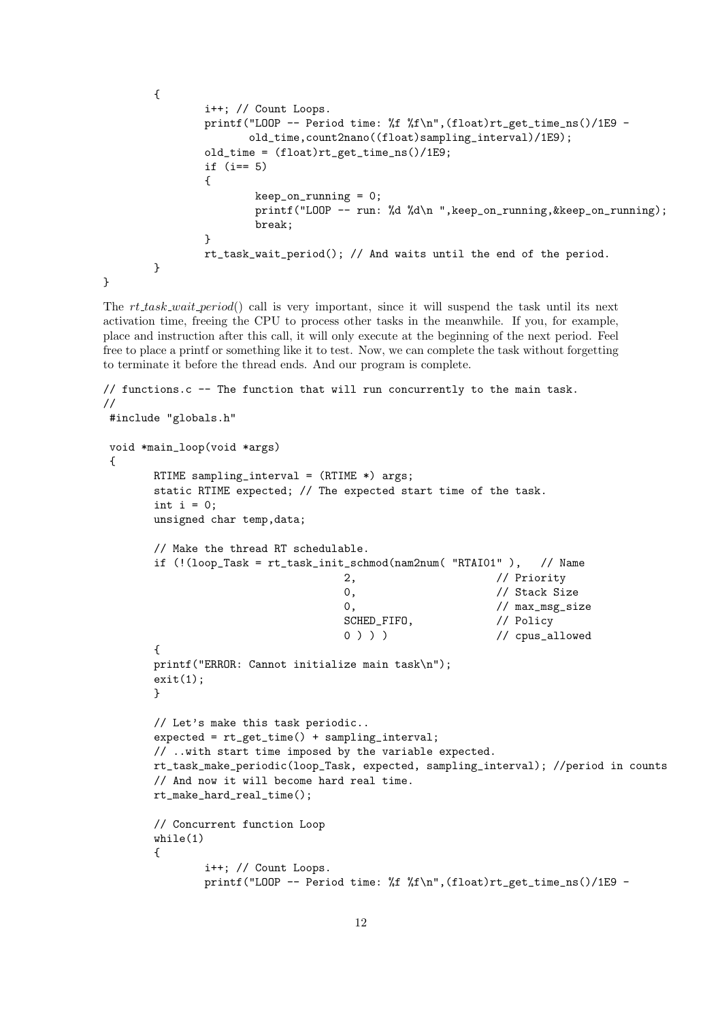```
{
                i++; // Count Loops.
                printf("LOOP -- Period time: %f %f\n",(float)rt_get_time_ns()/1E9 -
                       old_time,count2nano((float)sampling_interval)/1E9);
                old_time = (float)rt_get_time_ns()/1E9;
                if (i== 5)
                {
                        keep\_on\_running = 0;printf("LOOP -- run: %d %d\n ",keep_on_running,&keep_on_running);
                        break;
                }
                rt_task_wait_period(); // And waits until the end of the period.
        }
}
```
The rt\_task\_wait\_period() call is very important, since it will suspend the task until its next activation time, freeing the CPU to process other tasks in the meanwhile. If you, for example, place and instruction after this call, it will only execute at the beginning of the next period. Feel free to place a printf or something like it to test. Now, we can complete the task without forgetting to terminate it before the thread ends. And our program is complete.

```
// functions.c -- The function that will run concurrently to the main task.
//
#include "globals.h"
void *main_loop(void *args)
{
       RTIME sampling_interval = (RTIME *) args;
       static RTIME expected; // The expected start time of the task.
       int i = 0;
       unsigned char temp,data;
       // Make the thread RT schedulable.
       if (!(loop_Task = rt_task_init_schmod(nam2num( "RTAI01" ), // Name
                                    2, // Priority
                                    0, \frac{1}{\sqrt{3}} Stack Size
                                    0, \frac{1}{\sqrt{max_m s}} size
                                    SCHED_FIFO, \frac{1}{\sqrt{2}} Policy
                                    0 ) ) ) / / cpus_allowed
       {
       printf("ERROR: Cannot initialize main task\n");
       exit(1);}
       // Let's make this task periodic..
       expected = rt_get_time() + sampling_interval;
       // ..with start time imposed by the variable expected.
       rt_task_make_periodic(loop_Task, expected, sampling_interval); //period in counts
       // And now it will become hard real time.
       rt_make_hard_real_time();
       // Concurrent function Loop
       while(1)
       {
               i++; // Count Loops.
               printf("LOOP -- Period time: %f %f\n",(float)rt_get_time_ns()/1E9 -
```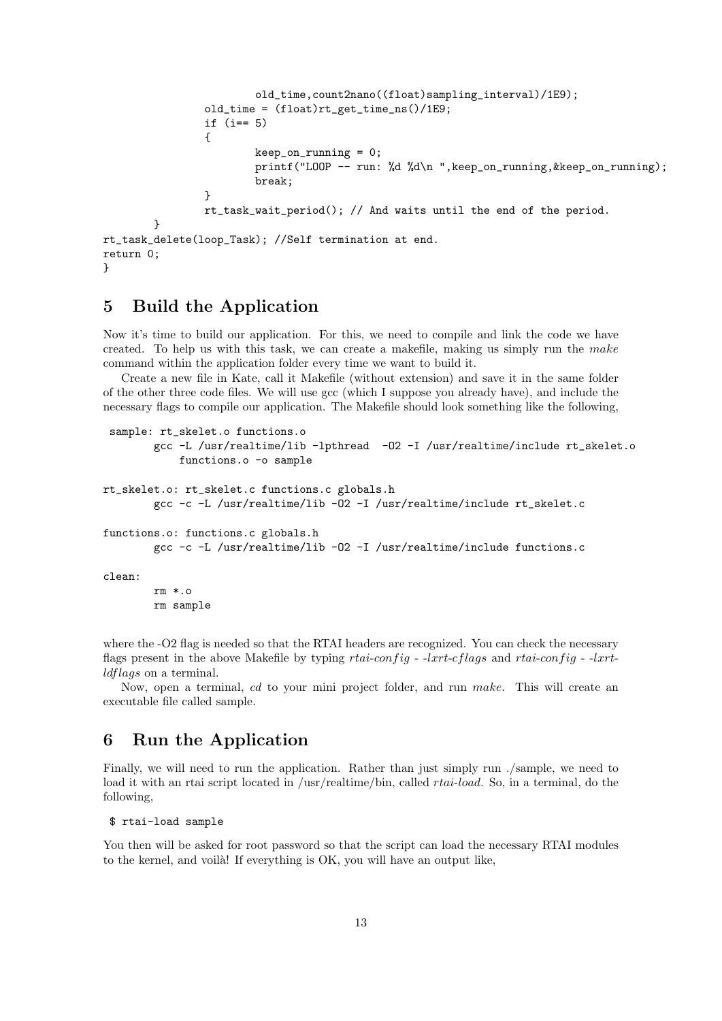```
old_time,count2nano((float)sampling_interval)/1E9);
                old_time = (float)rt_get_time_ns()/1E9;
                if (i== 5)
                {
                        keep_on_running = 0;
                        printf("LOOP -- run: %d %d\n ",keep_on_running,&keep_on_running);
                        break;
                }
                rt_task_wait_period(); // And waits until the end of the period.
        }
rt_task_delete(loop_Task); //Self termination at end.
return 0;
}
```
## 5 Build the Application

Now it's time to build our application. For this, we need to compile and link the code we have created. To help us with this task, we can create a makefile, making us simply run the make command within the application folder every time we want to build it.

Create a new file in Kate, call it Makefile (without extension) and save it in the same folder of the other three code files. We will use gcc (which I suppose you already have), and include the necessary flags to compile our application. The Makefile should look something like the following,

```
sample: rt_skelet.o functions.o
        gcc -L /usr/realtime/lib -lpthread -O2 -I /usr/realtime/include rt_skelet.o
            functions.o -o sample
rt_skelet.o: rt_skelet.c functions.c globals.h
        gcc -c -L /usr/realtime/lib -O2 -I /usr/realtime/include rt_skelet.c
functions.o: functions.c globals.h
        gcc -c -L /usr/realtime/lib -O2 -I /usr/realtime/include functions.c
clean:
        rm *.o
        rm sample
```
where the -O2 flag is needed so that the RTAI headers are recognized. You can check the necessary flags present in the above Makefile by typing rtai-config - -lxrt-cflags and rtai-config - -lxrtldflags on a terminal.

Now, open a terminal, cd to your mini project folder, and run make. This will create an executable file called sample.

## 6 Run the Application

Finally, we will need to run the application. Rather than just simply run ./sample, we need to load it with an rtai script located in /usr/realtime/bin, called *rtai-load*. So, in a terminal, do the following,

```
$ rtai-load sample
```
You then will be asked for root password so that the script can load the necessary RTAI modules to the kernel, and voila! If everything is OK, you will have an output like,